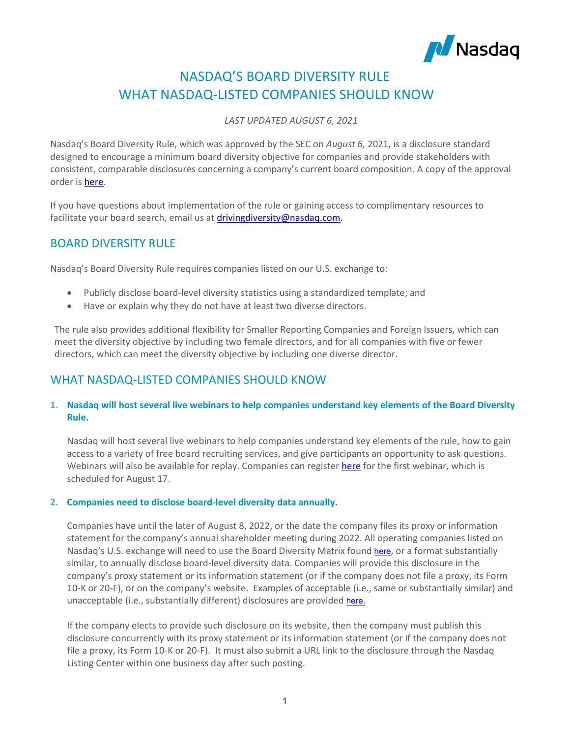

# NASDAQ'S BOARD DIVERSITY RULE WHAT NASDAQ-LISTED COMPANIES SHOULD KNOW

*LAST UPDATED AUGUST 6, 2021*

Nasdaq's Board Diversity Rule, which was approved by the SEC on *August 6,* 2021, is a disclosure standard designed to encourage a minimum board diversity objective for companies and provide stakeholders with consistent, comparable disclosures concerning a company's current board composition. A copy of the approval order i[s here.](https://engage.nasdaq.com/MzAzLVFLTS00NjMAAAF-vFQe9Lx5Qktd9JHS_-W1jZnLedLZl670XQveeo6h-SddhoeX9NJaC8jL8pI2xAEZ2rz3lw0=)

If you have questions about implementation of the rule or gaining access to complimentary resources to facilitate your board search, email us at driving diversity@nasdag.com.

# BOARD DIVERSITY RULE

Nasdaq's Board Diversity Rule requires companies listed on our U.S. exchange to:

- Publicly disclose board-level diversity statistics using a standardized template; and
- Have or explain why they do not have at least two diverse directors.

The rule also provides additional flexibility for Smaller Reporting Companies and Foreign Issuers, which can meet the diversity objective by including two female directors, and for all companies with five or fewer directors, which can meet the diversity objective by including one diverse director.

# WHAT NASDAQ-LISTED COMPANIES SHOULD KNOW

## **1. Nasdaq will host several live webinars to help companies understand key elements of the Board Diversity Rule.**

Nasdaq will host several live webinars to help companies understand key elements of the rule, how to gain access to a variety of free board recruiting services, and give participants an opportunity to ask questions. Webinars will also be available for replay. Companies can register [here](https://nasdaq.zoom.us/webinar/register/WN_KdQKOLkNQ0-gWpmZwrXzPg?utm_medium=Email&utm_source=Marketing&mkt_tok=MzAzLVFLTS00NjMAAAF-vFQe9MdwzlfGhtkJW4OHUjwJNw0BzfwDYKhArkt2HRd8_pHgEt8WXNdXG_-nO2CaPv28dE2gxEXO5C-9XytpHHBfT_xb2ExZGPtwK-4EDXA) for the first webinar, which is scheduled for August 17.

#### **2. Companies need to disclose board-level diversity data annually.**

Companies have until the later of August 8, 2022, or the date the company files its proxy or information statement for the company's annual shareholder meeting during 2022. All operating companies listed on Nasdaq's U.S. exchange will need to use the Board Diversity Matrix found [here](https://listingcenter.nasdaq.com/assets/Board%20Diversity%20Disclosure%20Matrix.pdf), or a format substantially similar, to annually disclose board-level diversity data. Companies will provide this disclosure in the company's proxy statement or its information statement (or if the company does not file a proxy, its Form 10-K or 20-F), or on the company's website. Examples of acceptable (i.e., same or substantially similar) and unacceptable (i.e., substantially different) disclosures are provided [here.](https://listingcenter.nasdaq.com/assets/Board%20Matrix%20Examples_Website.pdf)

If the company elects to provide such disclosure on its website, then the company must publish this disclosure concurrently with its proxy statement or its information statement (or if the company does not file a proxy, its Form 10-K or 20-F). It must also submit a URL link to the disclosure through the Nasdaq Listing Center within one business day after such posting.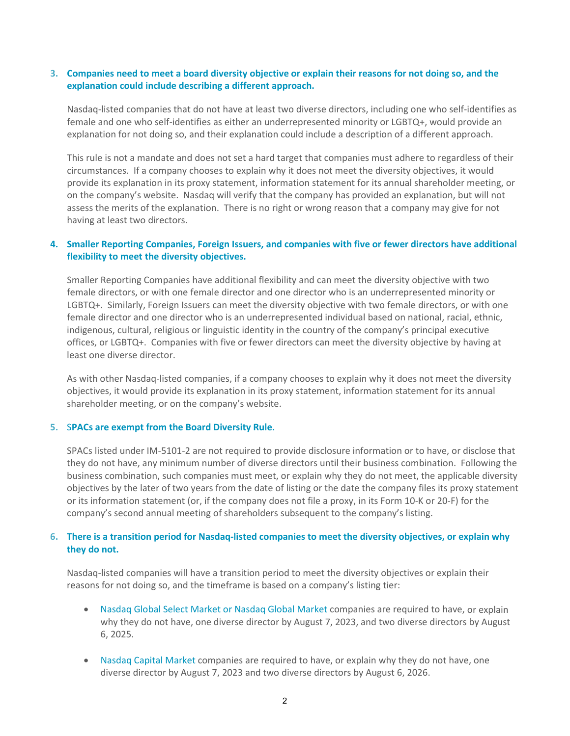#### **3. Companies need to meet a board diversity objective or explain their reasons for not doing so, and the explanation could include describing a different approach.**

Nasdaq-listed companies that do not have at least two diverse directors, including one who self-identifies as female and one who self-identifies as either an underrepresented minority or LGBTQ+, would provide an explanation for not doing so, and their explanation could include a description of a different approach.

This rule is not a mandate and does not set a hard target that companies must adhere to regardless of their circumstances. If a company chooses to explain why it does not meet the diversity objectives, it would provide its explanation in its proxy statement, information statement for its annual shareholder meeting, or on the company's website. Nasdaq will verify that the company has provided an explanation, but will not assess the merits of the explanation. There is no right or wrong reason that a company may give for not having at least two directors.

### **4. Smaller Reporting Companies, Foreign Issuers, and companies with five or fewer directors have additional flexibility to meet the diversity objectives.**

Smaller Reporting Companies have additional flexibility and can meet the diversity objective with two female directors, or with one female director and one director who is an underrepresented minority or LGBTQ+. Similarly, Foreign Issuers can meet the diversity objective with two female directors, or with one female director and one director who is an underrepresented individual based on national, racial, ethnic, indigenous, cultural, religious or linguistic identity in the country of the company's principal executive offices, or LGBTQ+. Companies with five or fewer directors can meet the diversity objective by having at least one diverse director.

As with other Nasdaq-listed companies, if a company chooses to explain why it does not meet the diversity objectives, it would provide its explanation in its proxy statement, information statement for its annual shareholder meeting, or on the company's website.

#### **5.** S**PACs are exempt from the Board Diversity Rule.**

SPACs listed under IM-5101-2 are not required to provide disclosure information or to have, or disclose that they do not have, any minimum number of diverse directors until their business combination. Following the business combination, such companies must meet, or explain why they do not meet, the applicable diversity objectives by the later of two years from the date of listing or the date the company files its proxy statement or its information statement (or, if the company does not file a proxy, in its Form 10-K or 20-F) for the company's second annual meeting of shareholders subsequent to the company's listing.

## **6. There is a transition period for Nasdaq-listed companies to meet the diversity objectives, or explain why they do not.**

Nasdaq-listed companies will have a transition period to meet the diversity objectives or explain their reasons for not doing so, and the timeframe is based on a company's listing tier:

- Nasdaq Global Select Market or Nasdaq Global Market companies are required to have, or explain why they do not have, one diverse director by August 7, 2023, and two diverse directors by August 6, 2025.
- Nasdaq Capital Market companies are required to have, or explain why they do not have, one diverse director by August 7, 2023 and two diverse directors by August 6, 2026.